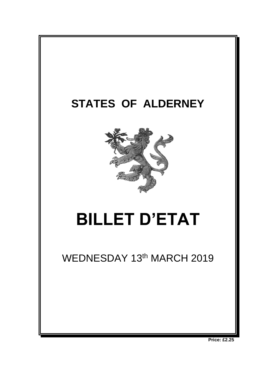

**Price: £2.25**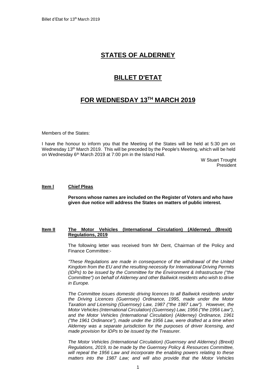# **STATES OF ALDERNEY**

## **BILLET D'ETAT**

# **FOR WEDNESDAY 13TH MARCH 2019**

Members of the States:

I have the honour to inform you that the Meeting of the States will be held at 5:30 pm on Wednesday 13<sup>th</sup> March 2019. This will be preceded by the People's Meeting, which will be held on Wednesday 6<sup>th</sup> March 2019 at 7:00 pm in the Island Hall.

> W Stuart Trought President

### **Item l Chief Pleas**

**Persons whose names are included on the Register of Voters and who have given due notice will address the States on matters of public interest.**

### **Item II The Motor Vehicles (International Circulation) (Alderney) (Brexit) Regulations, 2019**

The following letter was received from Mr Dent, Chairman of the Policy and Finance Committee:-

*"These Regulations are made in consequence of the withdrawal of the United Kingdom from the EU and the resulting necessity for International Driving Permits (IDPs) to be issued by the Committee for the Environment & Infrastructure ("the Committee") on behalf of Alderney and other Bailiwick residents who wish to drive in Europe.*

*The Committee issues domestic driving licences to all Bailiwick residents under the Driving Licences (Guernsey) Ordinance, 1995, made under the Motor Taxation and Licensing (Guernsey) Law, 1987 ("the 1987 Law"). However, the Motor Vehicles (International Circulation) (Guernsey) Law, 1956 ("the 1956 Law"),*  and the Motor Vehicles (International Circulation) (Alderney) Ordinance, 1961 *("the 1961 Ordinance"), made under the 1956 Law, were drafted at a time when Alderney was a separate jurisdiction for the purposes of driver licensing, and made provision for IDPs to be issued by the Treasurer.*

*The Motor Vehicles (International Circulation) (Guernsey and Alderney) (Brexit) Regulations, 2019, to be made by the Guernsey Policy & Resources Committee, will repeal the 1956 Law and incorporate the enabling powers relating to these matters into the 1987 Law; and will also provide that the Motor Vehicles*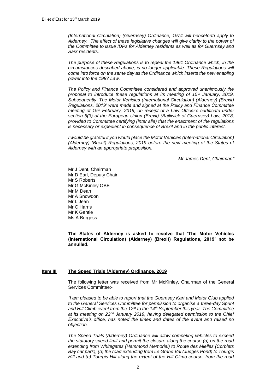*(International Circulation) (Guernsey) Ordinance, 1974 will henceforth apply to Alderney. The effect of these legislative changes will give clarity to the power of the Committee to issue IDPs for Alderney residents as well as for Guernsey and Sark residents.* 

*The purpose of these Regulations is to repeal the 1961 Ordinance which, in the circumstances described above, is no longer applicable. These Regulations will come into force on the same day as the Ordinance which inserts the new enabling power into the 1987 Law.* 

*The Policy and Finance Committee considered and approved unanimously the proposal to introduce these regulations at its meeting of 15th January, 2019. Subsequently 'The Motor Vehicles (International Circulation) (Alderney) (Brexit) Regulations, 2019' were made and signed at the Policy and Finance Committee meeting of 19th February, 2019, on receipt of a Law Officer's certificate under*  section 5(3) of the European Union (Brexit) (Bailiwick of Guernsey) Law, 2018, *provided to Committee certifying (inter alia) that the enactment of the regulations is necessary or expedient in consequence of Brexit and in the public interest.*

*I* would be grateful if you would place the Motor Vehicles (International Circulation) *(Alderney) (Brexit) Regulations, 2019 before the next meeting of the States of Alderney with an appropriate proposition.*

*Mr James Dent, Chairman"*

Mr J Dent, Chairman Mr D Earl, Deputy Chair Mr S Roberts Mr G McKinley OBE Mr M Dean Mr A Snowdon Mr L Jean Mr C Harris Mr K Gentle Ms A Burgess

**The States of Alderney is asked to resolve that 'The Motor Vehicles (International Circulation) (Alderney) (Brexit) Regulations, 2019' not be annulled.**

#### **Item III The Speed Trials (Alderney) Ordinance, 2019**

The following letter was received from Mr McKinley, Chairman of the General Services Committee:-

*"I am pleased to be able to report that the Guernsey Kart and Motor Club applied to the General Services Committee for permission to organise a three-day Sprint and Hill Climb event from the 12th to the 14th September this year. The Committee at its meeting on 22nd January 2019, having delegated permission to the Chief Executive's office, has noted the times and dates of the event and raised no objection.* 

*The Speed Trials (Alderney) Ordinance will allow competing vehicles to exceed the statutory speed limit and permit the closure along the course (a) on the road extending from Whitegates (Hammond Memorial) to Route des Mielles (Corblets Bay car park), (b) the road extending from Le Grand Val (Judges Pond) to Tourgis Hill and (c) Tourgis Hill along the extent of the Hill Climb course, from the road*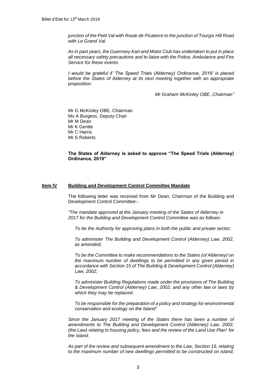*junction of the Petit Val with Route de Picaterre to the junction of Tourgis Hill Road with Le Grand Val.*

*As in past years, the Guernsey Kart and Motor Club has undertaken to put in place all necessary safety precautions and to liaise with the Police, Ambulance and Fire Service for these events.*

*I would be grateful if 'The Speed Trials (Alderney) Ordinance, 2019' is placed before the States of Alderney at its next meeting together with an appropriate proposition.*

*Mr Graham McKinley OBE, Chairman"*

Mr G McKinley OBE, Chairman Ms A Burgess, Deputy Chair Mr M Dean Mr K Gentle Mr C Harris Mr S Roberts

**The States of Alderney is asked to approve "The Speed Trials (Alderney) Ordinance, 2019"**

#### **Item lV Building and Development Control Committee Mandate**

The following letter was received from Mr Dean, Chairman of the Building and Development Control Committee:-

*"The mandate approved at the January meeting of the States of Alderney in 2017 for the Building and Development Control Committee was as follows:*

*To be the Authority for approving plans in both the public and private sector;*

*To administer The Building and Development Control (Alderney) Law, 2002, as amended;*

*To be the Committee to make recommendations to the States (of Alderney) on the maximum number of dwellings to be permitted in any given period in accordance with Section 15 of The Building & Development Control (Alderney) Law, 2002;*

*To administer Building Regulations made under the provisions of The Building & Development Control (Alderney) Law, 2002, and any other law or laws by which they may be replaced.* 

*To be responsible for the preparation of a policy and strategy for environmental conservation and ecology on the Island"*

*Since the January 2017 meeting of the States there has been a number of*  amendments to The Building and Development Control (Alderney) Law, 2002, *(the Law) relating to housing policy, fees and the review of the Land Use Plan<sup>1</sup> for the island.*

*As part of the review and subsequent amendment to the Law, Section 15, relating to the maximum number of new dwellings permitted to be constructed on island,*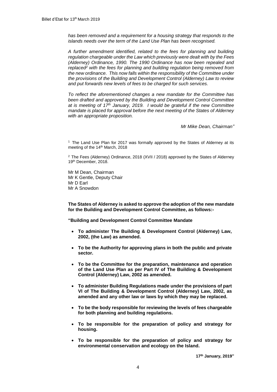*has been removed and a requirement for a housing strategy that responds to the islands needs over the term of the Land Use Plan has been recognised.* 

*A further amendment identified, related to the fees for planning and building regulation chargeable under the Law which previously were dealt with by the Fees (Alderney) Ordinance, 1990. The 1990 Ordinance has now been repealed and replaced<sup>2</sup> with the fees for planning and building regulation being removed from the new ordinance. This now falls within the responsibility of the Committee under the provisions of the Building and Development Control (Alderney) Law to review and put forwards new levels of fees to be charged for such services.* 

*To reflect the aforementioned changes a new mandate for the Committee has been drafted and approved by the Building and Development Control Committee at is meeting of 17th January, 2019. I would be grateful if the new Committee mandate is placed for approval before the next meeting of the States of Alderney with an appropriate proposition.*

*Mr Mike Dean, Chairman"*

 $1$  The Land Use Plan for 2017 was formally approved by the States of Alderney at its meeting of the 14<sup>th</sup> March, 2018

 $2$  The Fees (Alderney) Ordinance, 2018 (XVII / 2018) approved by the States of Alderney 19th December, 2018.

Mr M Dean, Chairman Mr K Gentle, Deputy Chair Mr D Earl Mr A Snowdon

**The States of Alderney is asked to approve the adoption of the new mandate for the Building and Development Control Committee, as follows:-**

**"Building and Development Control Committee Mandate**

- **To administer The Building & Development Control (Alderney) Law, 2002, (the Law) as amended.**
- **To be the Authority for approving plans in both the public and private sector.**
- **To be the Committee for the preparation, maintenance and operation of the Land Use Plan as per Part IV of The Building & Development Control (Alderney) Law, 2002 as amended.**
- **To administer Building Regulations made under the provisions of part VI of The Building & Development Control (Alderney) Law, 2002, as amended and any other law or laws by which they may be replaced.**
- **To be the body responsible for reviewing the levels of fees chargeable for both planning and building regulations.**
- **To be responsible for the preparation of policy and strategy for housing.**
- **To be responsible for the preparation of policy and strategy for environmental conservation and ecology on the Island.**